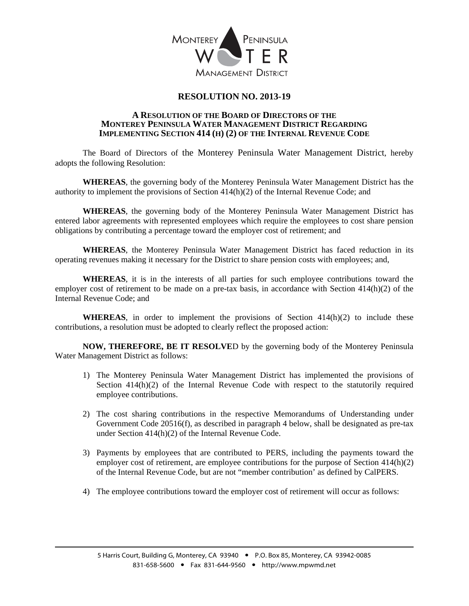

## **RESOLUTION NO. 2013-19**

## **A RESOLUTION OF THE BOARD OF DIRECTORS OF THE MONTEREY PENINSULA WATER MANAGEMENT DISTRICT REGARDING IMPLEMENTING SECTION 414 (H) (2) OF THE INTERNAL REVENUE CODE**

 The Board of Directors of the Monterey Peninsula Water Management District, hereby adopts the following Resolution:

**WHEREAS**, the governing body of the Monterey Peninsula Water Management District has the authority to implement the provisions of Section 414(h)(2) of the Internal Revenue Code; and

**WHEREAS**, the governing body of the Monterey Peninsula Water Management District has entered labor agreements with represented employees which require the employees to cost share pension obligations by contributing a percentage toward the employer cost of retirement; and

**WHEREAS**, the Monterey Peninsula Water Management District has faced reduction in its operating revenues making it necessary for the District to share pension costs with employees; and,

**WHEREAS**, it is in the interests of all parties for such employee contributions toward the employer cost of retirement to be made on a pre-tax basis, in accordance with Section 414(h)(2) of the Internal Revenue Code; and

**WHEREAS**, in order to implement the provisions of Section  $414(h)(2)$  to include these contributions, a resolution must be adopted to clearly reflect the proposed action:

 **NOW, THEREFORE, BE IT RESOLVE**D by the governing body of the Monterey Peninsula Water Management District as follows:

- 1) The Monterey Peninsula Water Management District has implemented the provisions of Section 414(h)(2) of the Internal Revenue Code with respect to the statutorily required employee contributions.
- 2) The cost sharing contributions in the respective Memorandums of Understanding under Government Code 20516(f), as described in paragraph 4 below, shall be designated as pre-tax under Section 414(h)(2) of the Internal Revenue Code.
- 3) Payments by employees that are contributed to PERS, including the payments toward the employer cost of retirement, are employee contributions for the purpose of Section 414(h)(2) of the Internal Revenue Code, but are not "member contribution' as defined by CalPERS.
- 4) The employee contributions toward the employer cost of retirement will occur as follows: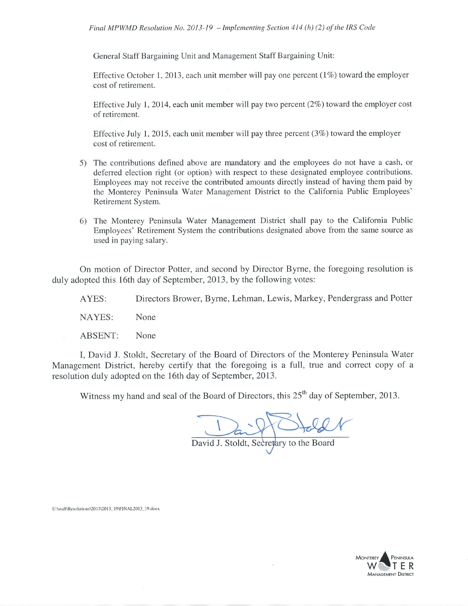General Staff Bargaining Unit and Management Staff Bargaining Unit:

Effective October 1, 2013, each unit member will pay one percent  $(1\%)$  toward the employer cost of retirement.

Effective July 1, 2014, each unit member will pay two percent  $(2\%)$  toward the employer cost of retirement.

Effective July 1, 2015, each unit member will pay three percent  $(3\%)$  toward the employer cost of retirement.

- 5) The contributions defined above are mandatory and the employees do not have a cash, or deferred election right (or option) with respect to these designated employee contributions. Employees may not receive the contributed amounts directly instead of having them paid by the Monterey Peninsula Water Management District to the Califomia Public Employees' Retirement System.
- The Monterey Peninsula Water Management District shall pay to the California Public 6) Employees' Retirement System the contributions designated above from the same source as used in paying salary.

On motion of Director Potter, and second by Director Byrne, the foregoing resolution is duly adopted this 16th day of September, 2013, by the following votes:

AYES: Directors Brower, Byrne, Lehman, Lewis, Markey, Pendergrass and Potter

NAYES: None

ABSENT: None

I, David J. Stoldt, Secretary of the Board of Directors of the Monterey Peninsula Water Management District, hereby certify that the foregoing is a full, true and correct copy of a resolution duly adopted on the 16th day of September, 2013.

Witness my hand and seal of the Board of Directors, this 25<sup>th</sup> day of September, 2013.

David J. Stoldt, Secretary to the Board

II:\stafl\Resolutions\2013\2013 19\FINAL2013 19.docx